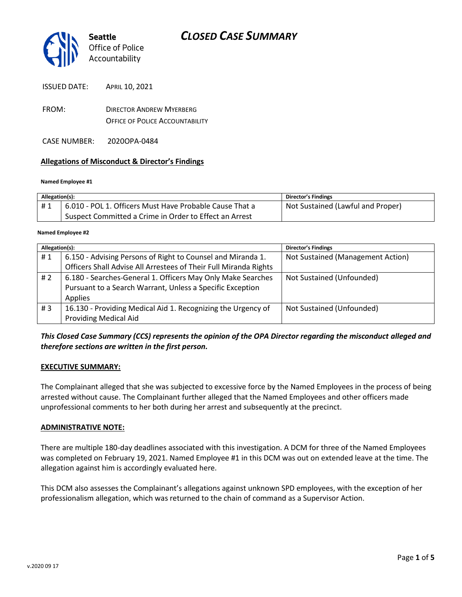

ISSUED DATE: APRIL 10, 2021

- FROM: DIRECTOR ANDREW MYERBERG OFFICE OF POLICE ACCOUNTABILITY
- CASE NUMBER: 2020OPA-0484

## **Allegations of Misconduct & Director's Findings**

#### **Named Employee #1**

| Allegation(s): |                                                         | Director's Findings               |
|----------------|---------------------------------------------------------|-----------------------------------|
| #1             | 6.010 - POL 1. Officers Must Have Probable Cause That a | Not Sustained (Lawful and Proper) |
|                | Suspect Committed a Crime in Order to Effect an Arrest  |                                   |

#### **Named Employee #2**

| Allegation(s): |                                                                  | <b>Director's Findings</b>        |
|----------------|------------------------------------------------------------------|-----------------------------------|
| #1             | 6.150 - Advising Persons of Right to Counsel and Miranda 1.      | Not Sustained (Management Action) |
|                | Officers Shall Advise All Arrestees of Their Full Miranda Rights |                                   |
| #2             | 6.180 - Searches-General 1. Officers May Only Make Searches      | Not Sustained (Unfounded)         |
|                | Pursuant to a Search Warrant, Unless a Specific Exception        |                                   |
|                | Applies                                                          |                                   |
| #3             | 16.130 - Providing Medical Aid 1. Recognizing the Urgency of     | Not Sustained (Unfounded)         |
|                | <b>Providing Medical Aid</b>                                     |                                   |

## *This Closed Case Summary (CCS) represents the opinion of the OPA Director regarding the misconduct alleged and therefore sections are written in the first person.*

### **EXECUTIVE SUMMARY:**

The Complainant alleged that she was subjected to excessive force by the Named Employees in the process of being arrested without cause. The Complainant further alleged that the Named Employees and other officers made unprofessional comments to her both during her arrest and subsequently at the precinct.

### **ADMINISTRATIVE NOTE:**

There are multiple 180-day deadlines associated with this investigation. A DCM for three of the Named Employees was completed on February 19, 2021. Named Employee #1 in this DCM was out on extended leave at the time. The allegation against him is accordingly evaluated here.

This DCM also assesses the Complainant's allegations against unknown SPD employees, with the exception of her professionalism allegation, which was returned to the chain of command as a Supervisor Action.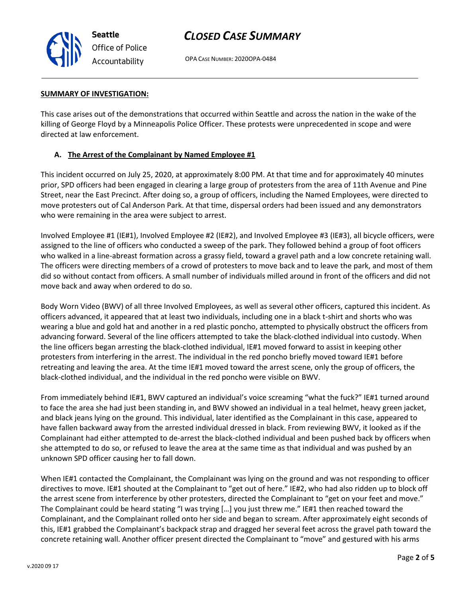

OPA CASE NUMBER: 2020OPA-0484

### **SUMMARY OF INVESTIGATION:**

This case arises out of the demonstrations that occurred within Seattle and across the nation in the wake of the killing of George Floyd by a Minneapolis Police Officer. These protests were unprecedented in scope and were directed at law enforcement.

## **A. The Arrest of the Complainant by Named Employee #1**

This incident occurred on July 25, 2020, at approximately 8:00 PM. At that time and for approximately 40 minutes prior, SPD officers had been engaged in clearing a large group of protesters from the area of 11th Avenue and Pine Street, near the East Precinct. After doing so, a group of officers, including the Named Employees, were directed to move protesters out of Cal Anderson Park. At that time, dispersal orders had been issued and any demonstrators who were remaining in the area were subject to arrest.

Involved Employee #1 (IE#1), Involved Employee #2 (IE#2), and Involved Employee #3 (IE#3), all bicycle officers, were assigned to the line of officers who conducted a sweep of the park. They followed behind a group of foot officers who walked in a line-abreast formation across a grassy field, toward a gravel path and a low concrete retaining wall. The officers were directing members of a crowd of protesters to move back and to leave the park, and most of them did so without contact from officers. A small number of individuals milled around in front of the officers and did not move back and away when ordered to do so.

Body Worn Video (BWV) of all three Involved Employees, as well as several other officers, captured this incident. As officers advanced, it appeared that at least two individuals, including one in a black t-shirt and shorts who was wearing a blue and gold hat and another in a red plastic poncho, attempted to physically obstruct the officers from advancing forward. Several of the line officers attempted to take the black-clothed individual into custody. When the line officers began arresting the black-clothed individual, IE#1 moved forward to assist in keeping other protesters from interfering in the arrest. The individual in the red poncho briefly moved toward IE#1 before retreating and leaving the area. At the time IE#1 moved toward the arrest scene, only the group of officers, the black-clothed individual, and the individual in the red poncho were visible on BWV.

From immediately behind IE#1, BWV captured an individual's voice screaming "what the fuck?" IE#1 turned around to face the area she had just been standing in, and BWV showed an individual in a teal helmet, heavy green jacket, and black jeans lying on the ground. This individual, later identified as the Complainant in this case, appeared to have fallen backward away from the arrested individual dressed in black. From reviewing BWV, it looked as if the Complainant had either attempted to de-arrest the black-clothed individual and been pushed back by officers when she attempted to do so, or refused to leave the area at the same time as that individual and was pushed by an unknown SPD officer causing her to fall down.

When IE#1 contacted the Complainant, the Complainant was lying on the ground and was not responding to officer directives to move. IE#1 shouted at the Complainant to "get out of here." IE#2, who had also ridden up to block off the arrest scene from interference by other protesters, directed the Complainant to "get on your feet and move." The Complainant could be heard stating "I was trying […] you just threw me." IE#1 then reached toward the Complainant, and the Complainant rolled onto her side and began to scream. After approximately eight seconds of this, IE#1 grabbed the Complainant's backpack strap and dragged her several feet across the gravel path toward the concrete retaining wall. Another officer present directed the Complainant to "move" and gestured with his arms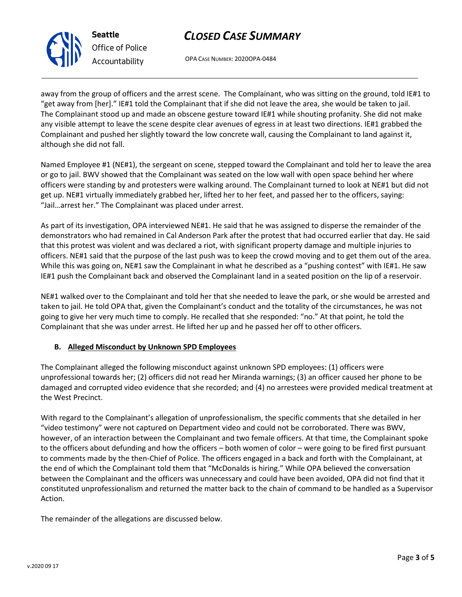OPA CASE NUMBER: 2020OPA-0484

away from the group of officers and the arrest scene. The Complainant, who was sitting on the ground, told IE#1 to "get away from [her]." IE#1 told the Complainant that if she did not leave the area, she would be taken to jail. The Complainant stood up and made an obscene gesture toward IE#1 while shouting profanity. She did not make any visible attempt to leave the scene despite clear avenues of egress in at least two directions. IE#1 grabbed the Complainant and pushed her slightly toward the low concrete wall, causing the Complainant to land against it, although she did not fall.

Named Employee #1 (NE#1), the sergeant on scene, stepped toward the Complainant and told her to leave the area or go to jail. BWV showed that the Complainant was seated on the low wall with open space behind her where officers were standing by and protesters were walking around. The Complainant turned to look at NE#1 but did not get up. NE#1 virtually immediately grabbed her, lifted her to her feet, and passed her to the officers, saying: "Jail…arrest her." The Complainant was placed under arrest.

As part of its investigation, OPA interviewed NE#1. He said that he was assigned to disperse the remainder of the demonstrators who had remained in Cal Anderson Park after the protest that had occurred earlier that day. He said that this protest was violent and was declared a riot, with significant property damage and multiple injuries to officers. NE#1 said that the purpose of the last push was to keep the crowd moving and to get them out of the area. While this was going on, NE#1 saw the Complainant in what he described as a "pushing contest" with IE#1. He saw IE#1 push the Complainant back and observed the Complainant land in a seated position on the lip of a reservoir.

NE#1 walked over to the Complainant and told her that she needed to leave the park, or she would be arrested and taken to jail. He told OPA that, given the Complainant's conduct and the totality of the circumstances, he was not going to give her very much time to comply. He recalled that she responded: "no." At that point, he told the Complainant that she was under arrest. He lifted her up and he passed her off to other officers.

## **B. Alleged Misconduct by Unknown SPD Employees**

The Complainant alleged the following misconduct against unknown SPD employees: (1) officers were unprofessional towards her; (2) officers did not read her Miranda warnings; (3) an officer caused her phone to be damaged and corrupted video evidence that she recorded; and (4) no arrestees were provided medical treatment at the West Precinct.

With regard to the Complainant's allegation of unprofessionalism, the specific comments that she detailed in her "video testimony" were not captured on Department video and could not be corroborated. There was BWV, however, of an interaction between the Complainant and two female officers. At that time, the Complainant spoke to the officers about defunding and how the officers – both women of color – were going to be fired first pursuant to comments made by the then-Chief of Police. The officers engaged in a back and forth with the Complainant, at the end of which the Complainant told them that "McDonalds is hiring." While OPA believed the conversation between the Complainant and the officers was unnecessary and could have been avoided, OPA did not find that it constituted unprofessionalism and returned the matter back to the chain of command to be handled as a Supervisor Action.

The remainder of the allegations are discussed below.



**Seattle** *Office of Police Accountability*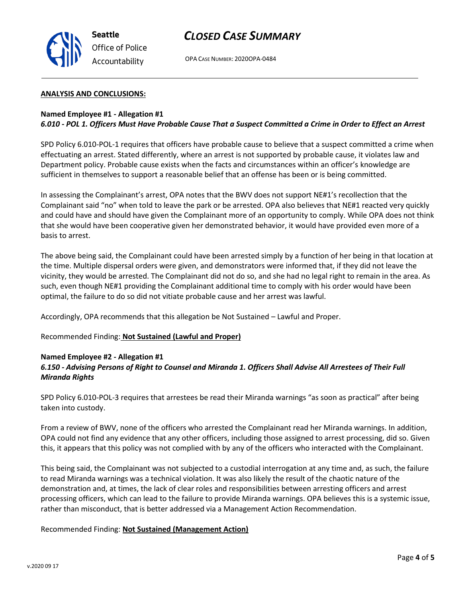

OPA CASE NUMBER: 2020OPA-0484

### **ANALYSIS AND CONCLUSIONS:**

## **Named Employee #1 - Allegation #1** *6.010 - POL 1. Officers Must Have Probable Cause That a Suspect Committed a Crime in Order to Effect an Arrest*

SPD Policy 6.010-POL-1 requires that officers have probable cause to believe that a suspect committed a crime when effectuating an arrest. Stated differently, where an arrest is not supported by probable cause, it violates law and Department policy. Probable cause exists when the facts and circumstances within an officer's knowledge are sufficient in themselves to support a reasonable belief that an offense has been or is being committed.

In assessing the Complainant's arrest, OPA notes that the BWV does not support NE#1's recollection that the Complainant said "no" when told to leave the park or be arrested. OPA also believes that NE#1 reacted very quickly and could have and should have given the Complainant more of an opportunity to comply. While OPA does not think that she would have been cooperative given her demonstrated behavior, it would have provided even more of a basis to arrest.

The above being said, the Complainant could have been arrested simply by a function of her being in that location at the time. Multiple dispersal orders were given, and demonstrators were informed that, if they did not leave the vicinity, they would be arrested. The Complainant did not do so, and she had no legal right to remain in the area. As such, even though NE#1 providing the Complainant additional time to comply with his order would have been optimal, the failure to do so did not vitiate probable cause and her arrest was lawful.

Accordingly, OPA recommends that this allegation be Not Sustained – Lawful and Proper.

Recommended Finding: **Not Sustained (Lawful and Proper)**

## **Named Employee #2 - Allegation #1**

## *6.150 - Advising Persons of Right to Counsel and Miranda 1. Officers Shall Advise All Arrestees of Their Full Miranda Rights*

SPD Policy 6.010-POL-3 requires that arrestees be read their Miranda warnings "as soon as practical" after being taken into custody.

From a review of BWV, none of the officers who arrested the Complainant read her Miranda warnings. In addition, OPA could not find any evidence that any other officers, including those assigned to arrest processing, did so. Given this, it appears that this policy was not complied with by any of the officers who interacted with the Complainant.

This being said, the Complainant was not subjected to a custodial interrogation at any time and, as such, the failure to read Miranda warnings was a technical violation. It was also likely the result of the chaotic nature of the demonstration and, at times, the lack of clear roles and responsibilities between arresting officers and arrest processing officers, which can lead to the failure to provide Miranda warnings. OPA believes this is a systemic issue, rather than misconduct, that is better addressed via a Management Action Recommendation.

## Recommended Finding: **Not Sustained (Management Action)**